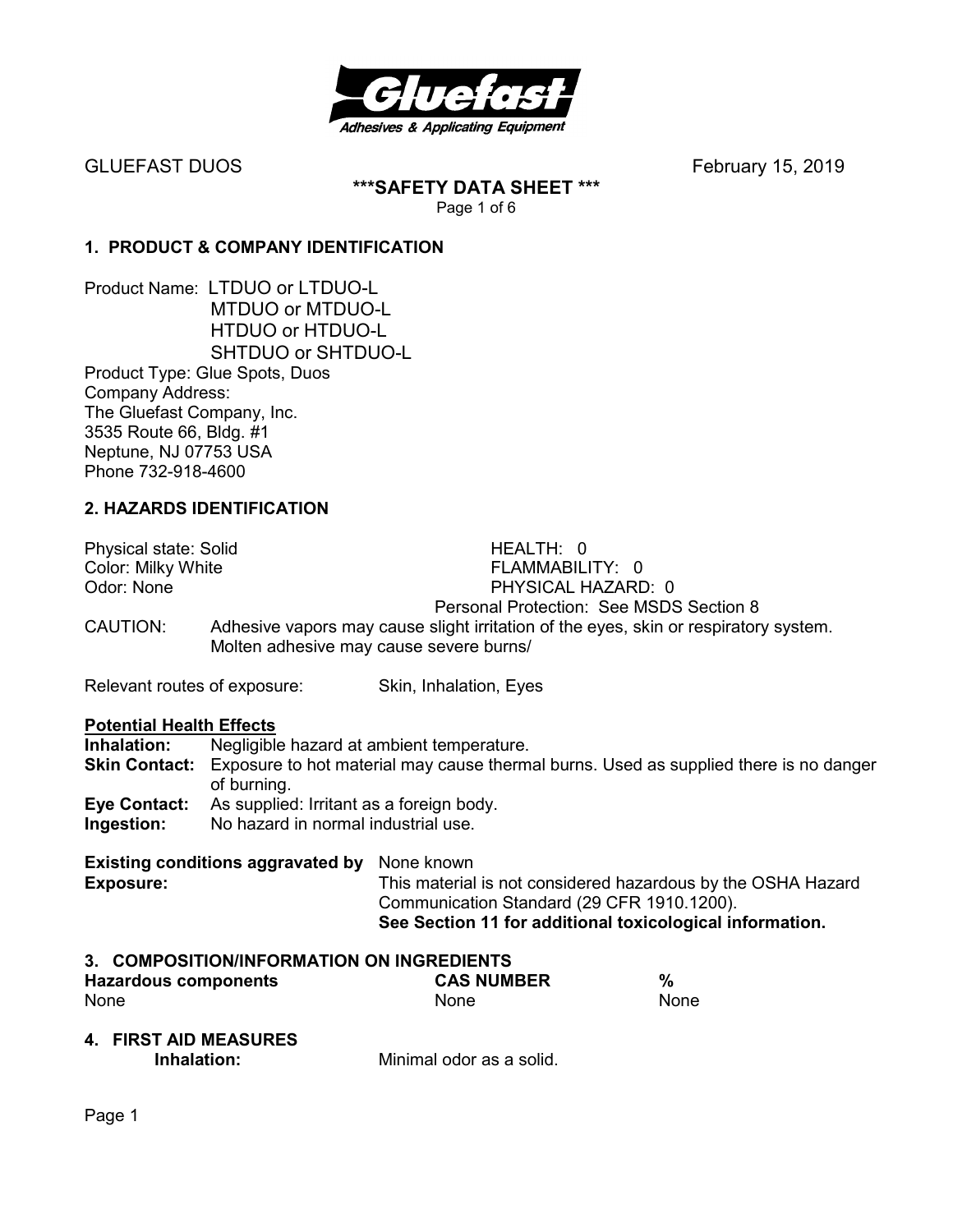

**\*\*\*SAFETY DATA SHEET \*\*\***  Page 1 of 6

## **1. PRODUCT & COMPANY IDENTIFICATION**

Product Name: LTDUO or LTDUO-L MTDUO or MTDUO-L HTDUO or HTDUO-L SHTDUO or SHTDUO-L Product Type: Glue Spots, Duos Company Address: The Gluefast Company, Inc. 3535 Route 66, Bldg. #1 Neptune, NJ 07753 USA Phone 732-918-4600

## **2. HAZARDS IDENTIFICATION**

Physical state: Solid HEALTH: 0

Color: Milky White **FLAMMABILITY:** 0 Odor: None PHYSICAL HAZARD: 0

Personal Protection: See MSDS Section 8<br>CAUTION: Adhesive vapors may cause slight irritation of the eves, skin or respirator Adhesive vapors may cause slight irritation of the eyes, skin or respiratory system. Molten adhesive may cause severe burns/

Relevant routes of exposure: Skin, Inhalation, Eyes

# **Potential Health Effects**<br>**Inhalation:** Negligible

Negligible hazard at ambient temperature. **Skin Contact:** Exposure to hot material may cause thermal burns. Used as supplied there is no danger of burning. **Eye Contact:** As supplied: Irritant as a foreign body.

**Ingestion:** No hazard in normal industrial use.

# **Existing conditions aggravated by** None known

**Exposure:** This material is not considered hazardous by the OSHA Hazard Communication Standard (29 CFR 1910.1200). **See Section 11 for additional toxicological information.** 

#### **3. COMPOSITION/INFORMATION ON INGREDIENTS**

| <b>Hazardous components</b> | <b>CAS NUMBER</b> | $\%$ |
|-----------------------------|-------------------|------|
| <b>None</b>                 | <b>None</b>       | None |

**4. FIRST AID MEASURES** 

**Inhalation:** Minimal odor as a solid.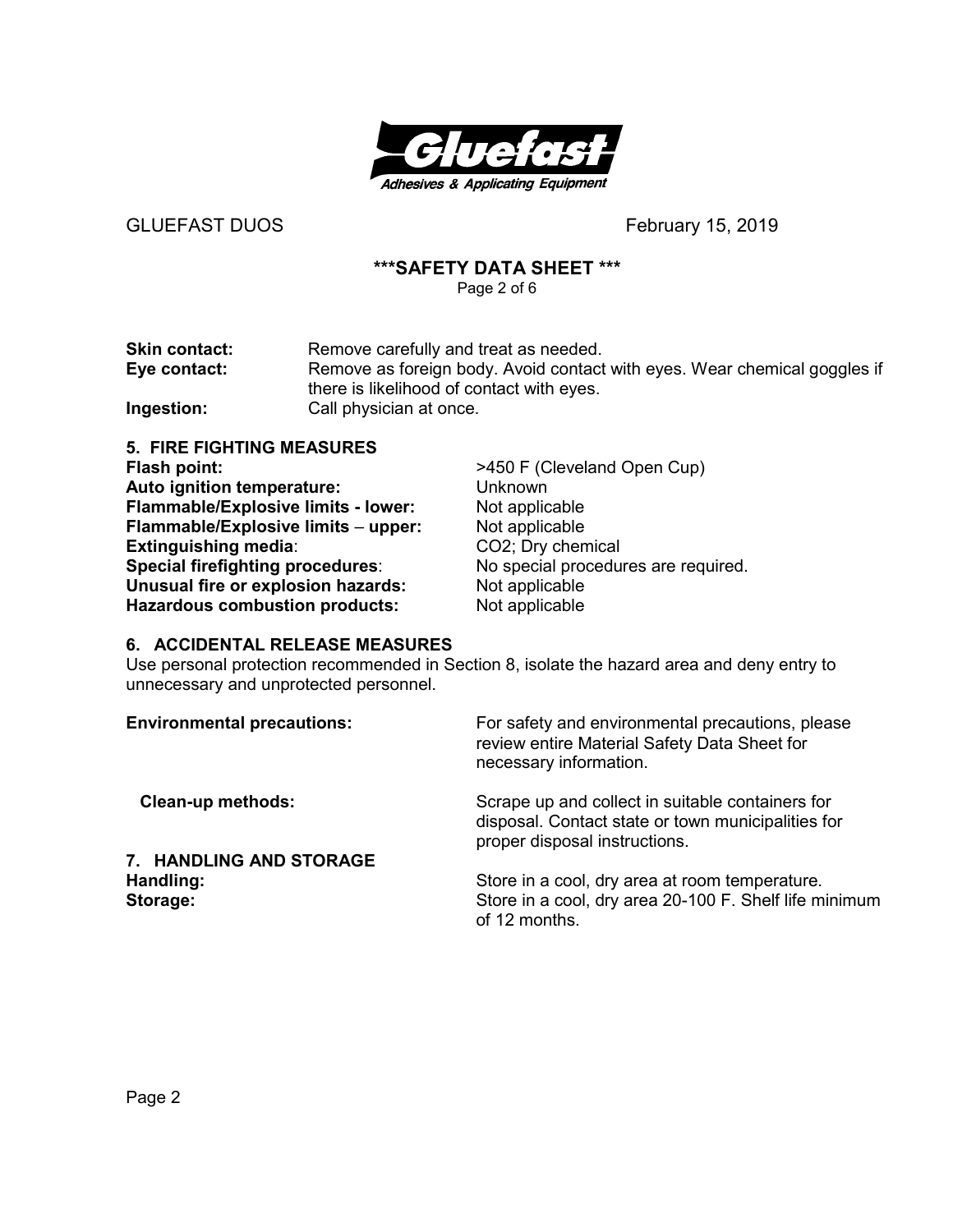

### **\*\*\*SAFETY DATA SHEET \*\*\***

Page 2 of 6

| <b>Skin contact:</b> | Remove carefully and treat as needed.                                     |
|----------------------|---------------------------------------------------------------------------|
| Eye contact:         | Remove as foreign body. Avoid contact with eyes. Wear chemical goggles if |
|                      | there is likelihood of contact with eyes.                                 |
| Ingestion:           | Call physician at once.                                                   |

**5. FIRE FIGHTING MEASURES Flash point:**  $\rightarrow$ 450 F (Cleveland Open Cup)<br> **Auto ignition temperature:** Unknown **Auto ignition temperature:** Unknown<br> **Flammable/Explosive limits - lower:** Not applicable **Flammable/Explosive limits - lower: Flammable/Explosive limits** – **upper:** Not applicable **Extinguishing media:** CO2; Dry chemical<br> **Special firefighting procedures:** No special procedures are required. **Special firefighting procedures: Unusual fire or explosion hazards:** Not applicable **Hazardous combustion products:** Not applicable

#### **6. ACCIDENTAL RELEASE MEASURES**

Use personal protection recommended in Section 8, isolate the hazard area and deny entry to unnecessary and unprotected personnel.

| <b>Environmental precautions:</b> | For safety and environmental precautions, please<br>review entire Material Safety Data Sheet for<br>necessary information.              |
|-----------------------------------|-----------------------------------------------------------------------------------------------------------------------------------------|
| <b>Clean-up methods:</b>          | Scrape up and collect in suitable containers for<br>disposal. Contact state or town municipalities for<br>proper disposal instructions. |
| 7. HANDLING AND STORAGE           |                                                                                                                                         |
| Handling:                         | Store in a cool, dry area at room temperature.                                                                                          |
| Storage:                          | Store in a cool, dry area 20-100 F. Shelf life minimum<br>of 12 months.                                                                 |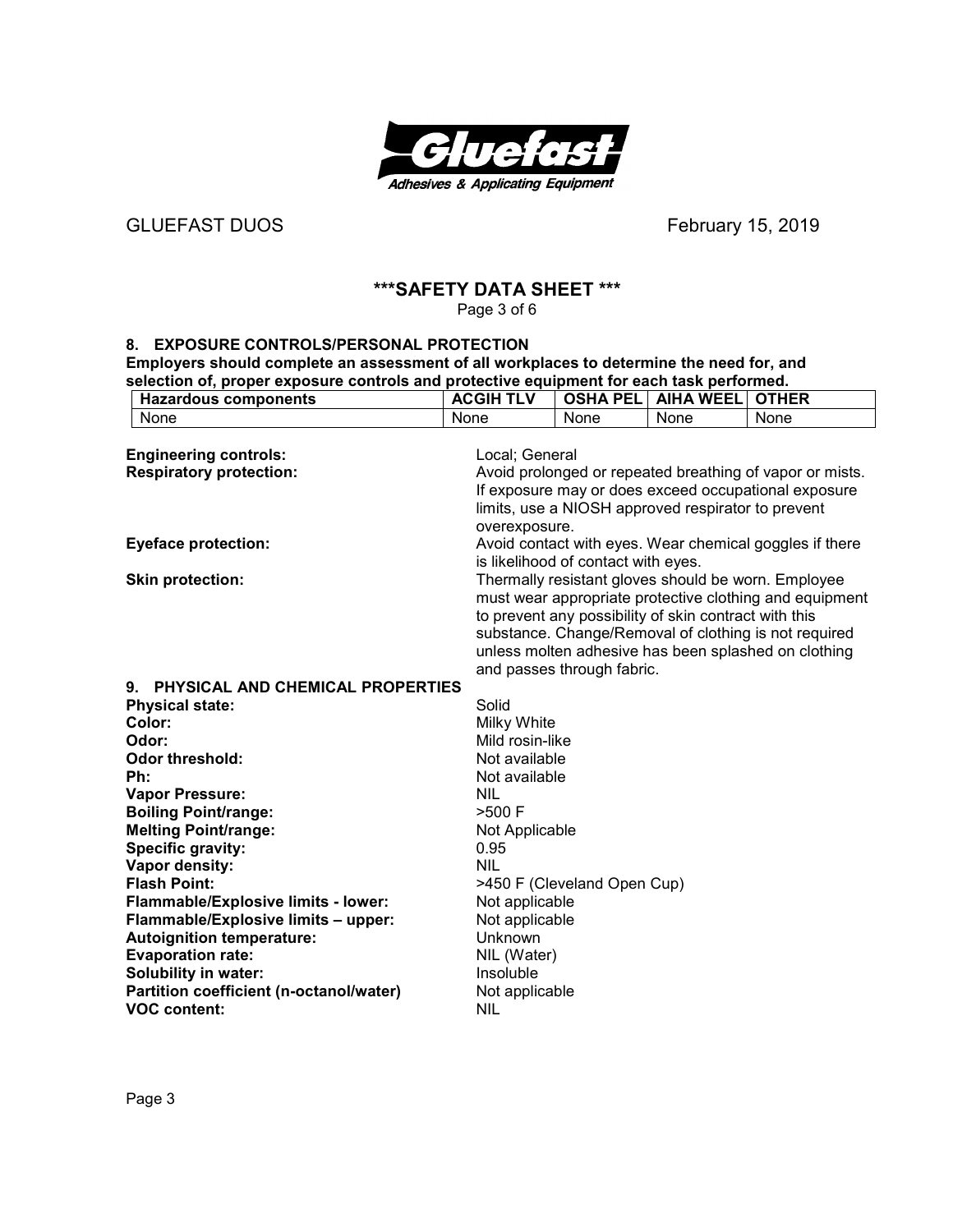

# GLUEFAST DUOS **BEEXITY**GLUEFAST DUOS **February 15, 2019**

## **\*\*\*SAFETY DATA SHEET \*\*\***

Page 3 of 6

#### **8. EXPOSURE CONTROLS/PERSONAL PROTECTION**

**Employers should complete an assessment of all workplaces to determine the need for, and selection of, proper exposure controls and protective equipment for each task performed.** 

| <b>Hazardous components</b> | <b>ACGIH TLV</b> |      | <b>OSHA PEL AIHA WEEL OTHER</b> |      |
|-----------------------------|------------------|------|---------------------------------|------|
| None                        | <b>None</b>      | None | None                            | None |
| _                           | .                |      |                                 |      |

| <b>Engineering controls:</b>               | Local; General                                           |
|--------------------------------------------|----------------------------------------------------------|
| <b>Respiratory protection:</b>             | Avoid prolonged or repeated breathing of vapor or mists. |
|                                            | If exposure may or does exceed occupational exposure     |
|                                            | limits, use a NIOSH approved respirator to prevent       |
|                                            | overexposure.                                            |
| <b>Eyeface protection:</b>                 | Avoid contact with eyes. Wear chemical goggles if there  |
|                                            | is likelihood of contact with eyes.                      |
| <b>Skin protection:</b>                    | Thermally resistant gloves should be worn. Employee      |
|                                            | must wear appropriate protective clothing and equipment  |
|                                            | to prevent any possibility of skin contract with this    |
|                                            | substance. Change/Removal of clothing is not required    |
|                                            | unless molten adhesive has been splashed on clothing     |
|                                            | and passes through fabric.                               |
| 9. PHYSICAL AND CHEMICAL PROPERTIES        |                                                          |
| <b>Physical state:</b>                     | Solid                                                    |
| Color:                                     | Milky White                                              |
| Odor:                                      | Mild rosin-like                                          |
| <b>Odor threshold:</b>                     | Not available                                            |
| Ph:                                        | Not available                                            |
| <b>Vapor Pressure:</b>                     | <b>NIL</b>                                               |
| <b>Boiling Point/range:</b>                | >500 F                                                   |
| <b>Melting Point/range:</b>                | Not Applicable                                           |
| Specific gravity:                          | 0.95                                                     |
| Vapor density:                             | <b>NIL</b>                                               |
| <b>Flash Point:</b>                        | >450 F (Cleveland Open Cup)                              |
| <b>Flammable/Explosive limits - lower:</b> | Not applicable                                           |
| Flammable/Explosive limits - upper:        | Not applicable                                           |
| <b>Autoignition temperature:</b>           | Unknown                                                  |
| <b>Evaporation rate:</b>                   | NIL (Water)                                              |
| <b>Solubility in water:</b>                | Insoluble                                                |
| Partition coefficient (n-octanol/water)    | Not applicable                                           |
| <b>VOC content:</b>                        | <b>NIL</b>                                               |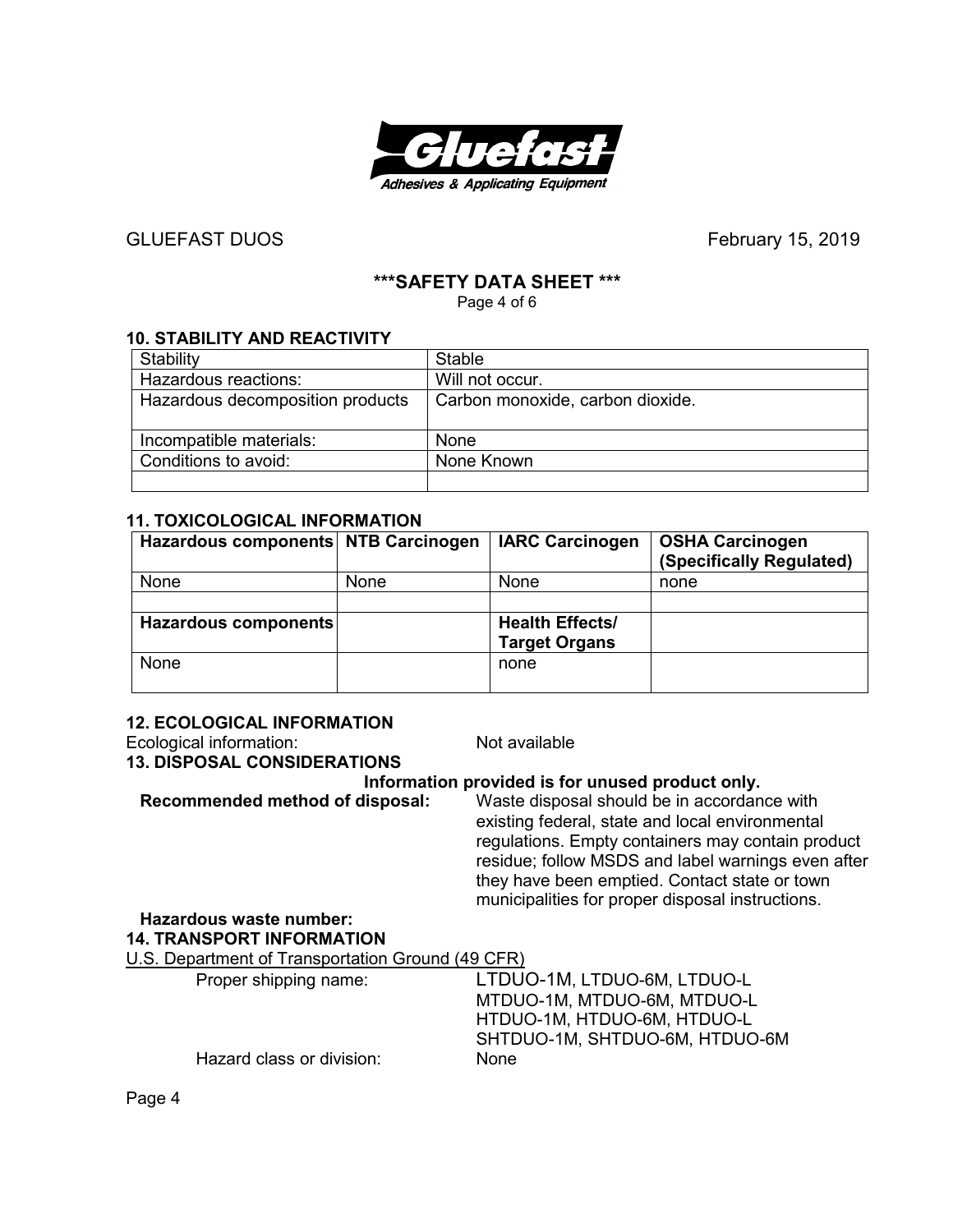

# **\*\*\*SAFETY DATA SHEET \*\*\***

Page 4 of 6

## **10. STABILITY AND REACTIVITY**

| Stability                        | Stable                           |
|----------------------------------|----------------------------------|
| Hazardous reactions:             | Will not occur.                  |
| Hazardous decomposition products | Carbon monoxide, carbon dioxide. |
|                                  |                                  |
| Incompatible materials:          | None                             |
| Conditions to avoid:             | None Known                       |
|                                  |                                  |

#### **11. TOXICOLOGICAL INFORMATION**

| Hazardous components NTB Carcinogen |      | <b>IARC Carcinogen</b>                         | <b>OSHA Carcinogen</b><br>(Specifically Regulated) |
|-------------------------------------|------|------------------------------------------------|----------------------------------------------------|
| None                                | None | None                                           | none                                               |
|                                     |      |                                                |                                                    |
| Hazardous components                |      | <b>Health Effects/</b><br><b>Target Organs</b> |                                                    |
| <b>None</b>                         |      | none                                           |                                                    |

#### **12. ECOLOGICAL INFORMATION**

| Ecological information:                           | Not available                                                                                                                                                                                                                                                                                                  |
|---------------------------------------------------|----------------------------------------------------------------------------------------------------------------------------------------------------------------------------------------------------------------------------------------------------------------------------------------------------------------|
| <b>13. DISPOSAL CONSIDERATIONS</b>                |                                                                                                                                                                                                                                                                                                                |
|                                                   | Information provided is for unused product only.                                                                                                                                                                                                                                                               |
| Recommended method of disposal:                   | Waste disposal should be in accordance with<br>existing federal, state and local environmental<br>regulations. Empty containers may contain product<br>residue; follow MSDS and label warnings even after<br>they have been emptied. Contact state or town<br>municipalities for proper disposal instructions. |
| Hazardous waste number:                           |                                                                                                                                                                                                                                                                                                                |
| <b>14. TRANSPORT INFORMATION</b>                  |                                                                                                                                                                                                                                                                                                                |
| U.S. Department of Transportation Ground (49 CFR) |                                                                                                                                                                                                                                                                                                                |
| Proper shipping name:                             | LTDUO-1M, LTDUO-6M, LTDUO-L<br>MTDUO-1M, MTDUO-6M, MTDUO-L<br>HTDUO-1M, HTDUO-6M, HTDUO-L<br>SHTDUO-1M, SHTDUO-6M, HTDUO-6M                                                                                                                                                                                    |
| Hazard class or division:                         | <b>None</b>                                                                                                                                                                                                                                                                                                    |

Page 4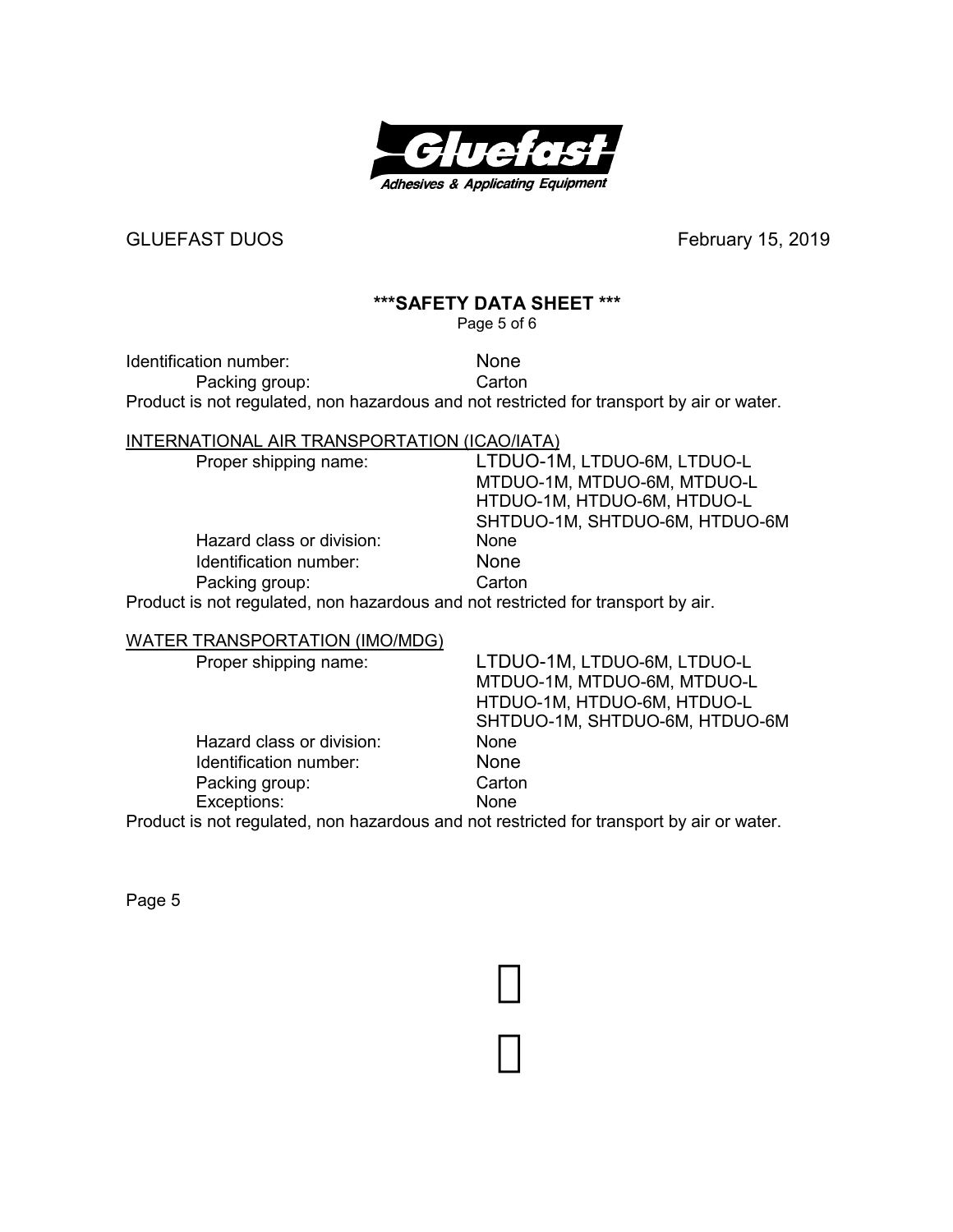

## **\*\*\*SAFETY DATA SHEET \*\*\***

Page 5 of 6

Identification number: None

Packing group: Carton

Product is not regulated, non hazardous and not restricted for transport by air or water.

#### INTERNATIONAL AIR TRANSPORTATION (ICAO/IATA)

 Hazard class or division: None Identification number: None<br>
Packing group: Carton Packing group:

 Proper shipping name: LTDUO-1M, LTDUO-6M, LTDUO-L MTDUO-1M, MTDUO-6M, MTDUO-L HTDUO-1M, HTDUO-6M, HTDUO-L SHTDUO-1M, SHTDUO-6M, HTDUO-6M

Product is not regulated, non hazardous and not restricted for transport by air.

#### WATER TRANSPORTATION (IMO/MDG)

| Proper shipping name:     | LTDUO-1M, LTDUO-6M, LTDUO-L                                                               |
|---------------------------|-------------------------------------------------------------------------------------------|
|                           | MTDUO-1M, MTDUO-6M, MTDUO-L                                                               |
|                           | HTDUO-1M, HTDUO-6M, HTDUO-L                                                               |
|                           | SHTDUO-1M, SHTDUO-6M, HTDUO-6M                                                            |
| Hazard class or division: | <b>None</b>                                                                               |
| Identification number:    | <b>None</b>                                                                               |
| Packing group:            | Carton                                                                                    |
| Exceptions:               | None                                                                                      |
|                           | Product is not requisited, non bezardeus and not restricted for transport by sir or water |

Product is not regulated, non hazardous and not restricted for transport by air or water.

Page 5